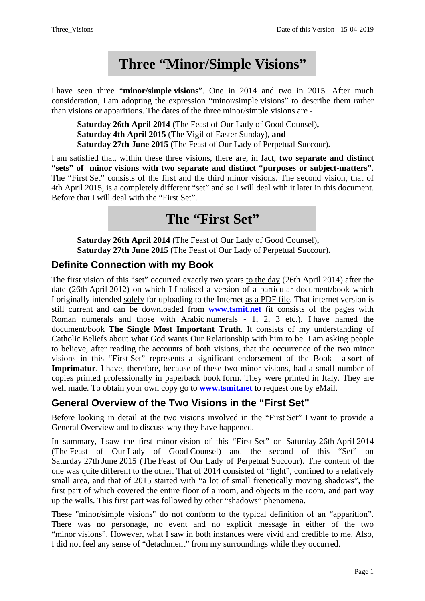# **Three "Minor/Simple Visions"**

I have seen three "**minor/simple visions**". One in 2014 and two in 2015. After much consideration, I am adopting the expression "minor/simple visions" to describe them rather than visions or apparitions. The dates of the three minor/simple visions are -

**Saturday 26th April 2014** (The Feast of Our Lady of Good Counsel)**, Saturday 4th April 2015** (The Vigil of Easter Sunday)**, and Saturday 27th June 2015 (**The Feast of Our Lady of Perpetual Succour)**.**

I am satisfied that, within these three visions, there are, in fact, **two separate and distinct "sets" of minor visions with two separate and distinct "purposes or subject-matters"**. The "First Set" consists of the first and the third minor visions. The second vision, that of 4th April 2015, is a completely different "set" and so I will deal with it later in this document. Before that I will deal with the "First Set".

# **The "First Set"**

**Saturday 26th April 2014** (The Feast of Our Lady of Good Counsel)**, Saturday 27th June 2015** (The Feast of Our Lady of Perpetual Succour)**.**

## **Definite Connection with my Book**

The first vision of this "set" occurred exactly two years to the day (26th April 2014) after the date (26th April 2012) on which I finalised a version of a particular document/book which I originally intended solely for uploading to the Internet as a PDF file. That internet version is still current and can be downloaded from **www.tsmit.net** (it consists of the pages with Roman numerals and those with Arabic numerals - 1, 2, 3 etc.). I have named the document/book **The Single Most Important Truth**. It consists of my understanding of Catholic Beliefs about what God wants Our Relationship with him to be. I am asking people to believe, after reading the accounts of both visions, that the occurrence of the two minor visions in this "First Set" represents a significant endorsement of the Book - **a sort of Imprimatur**. I have, therefore, because of these two minor visions, had a small number of copies printed professionally in paperback book form. They were printed in Italy. They are well made. To obtain your own copy go to **www.tsmit.net** to request one by eMail.

## **General Overview of the Two Visions in the "First Set"**

Before looking in detail at the two visions involved in the "First Set" I want to provide a General Overview and to discuss why they have happened.

In summary, I saw the first minor vision of this "First Set" on Saturday 26th April 2014 (The Feast of Our Lady of Good Counsel) and the second of this "Set" on Saturday 27th June 2015 (The Feast of Our Lady of Perpetual Succour). The content of the one was quite different to the other. That of 2014 consisted of "light", confined to a relatively small area, and that of 2015 started with "a lot of small frenetically moving shadows", the first part of which covered the entire floor of a room, and objects in the room, and part way up the walls. This first part was followed by other "shadows" phenomena.

These "minor/simple visions" do not conform to the typical definition of an "apparition". There was no personage, no event and no explicit message in either of the two "minor visions". However, what I saw in both instances were vivid and credible to me. Also, I did not feel any sense of "detachment" from my surroundings while they occurred.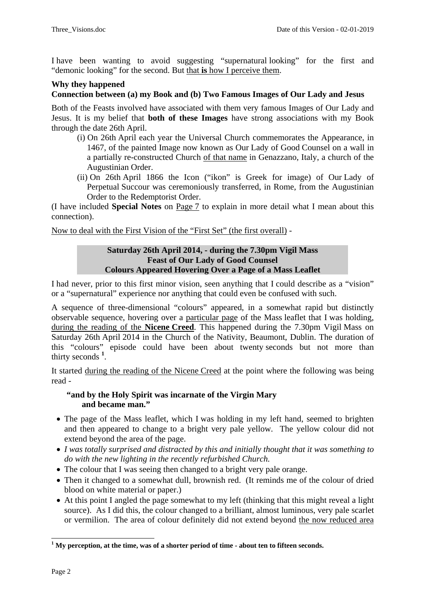I have been wanting to avoid suggesting "supernatural looking" for the first and "demonic looking" for the second. But that **is** how I perceive them.

### **Why they happened**

#### **Connection between (a) my Book and (b) Two Famous Images of Our Lady and Jesus**

Both of the Feasts involved have associated with them very famous Images of Our Lady and Jesus. It is my belief that **both of these Images** have strong associations with my Book through the date 26th April.

- (i) On 26th April each year the Universal Church commemorates the Appearance, in 1467, of the painted Image now known as Our Lady of Good Counsel on a wall in a partially re-constructed Church of that name in Genazzano, Italy, a church of the Augustinian Order.
- (ii) On 26th April 1866 the Icon ("ikon" is Greek for image) of Our Lady of Perpetual Succour was ceremoniously transferred, in Rome, from the Augustinian Order to the Redemptorist Order.

(I have included **Special Notes** on Page 7 to explain in more detail what I mean about this connection).

Now to deal with the First Vision of the "First Set" (the first overall) -

#### **Saturday 26th April 2014, - during the 7.30pm Vigil Mass Feast of Our Lady of Good Counsel Colours Appeared Hovering Over a Page of a Mass Leaflet**

I had never, prior to this first minor vision, seen anything that I could describe as a "vision" or a "supernatural" experience nor anything that could even be confused with such.

A sequence of three-dimensional "colours" appeared, in a somewhat rapid but distinctly observable sequence, hovering over a particular page of the Mass leaflet that I was holding, during the reading of the **Nicene Creed**. This happened during the 7.30pm Vigil Mass on Saturday 26th April 2014 in the Church of the Nativity, Beaumont, Dublin. The duration of this "colours" episode could have been about twenty seconds but not more than thirty seconds **<sup>1</sup>** [.](#page-1-0)

It started during the reading of the Nicene Creed at the point where the following was being read -

#### **"and by the Holy Spirit was incarnate of the Virgin Mary and became man."**

- The page of the Mass leaflet, which I was holding in my left hand, seemed to brighten and then appeared to change to a bright very pale yellow. The yellow colour did not extend beyond the area of the page.
- *I was totally surprised and distracted by this and initially thought that it was something to do with the new lighting in the recently refurbished Church.*
- The colour that I was seeing then changed to a bright very pale orange.
- Then it changed to a somewhat dull, brownish red. (It reminds me of the colour of dried blood on white material or paper.)
- At this point I angled the page somewhat to my left (thinking that this might reveal a light source). As I did this, the colour changed to a brilliant, almost luminous, very pale scarlet or vermilion. The area of colour definitely did not extend beyond the now reduced area

 $\overline{a}$ 

<span id="page-1-0"></span><sup>&</sup>lt;sup>1</sup> My perception, at the time, was of a shorter period of time - about ten to fifteen seconds.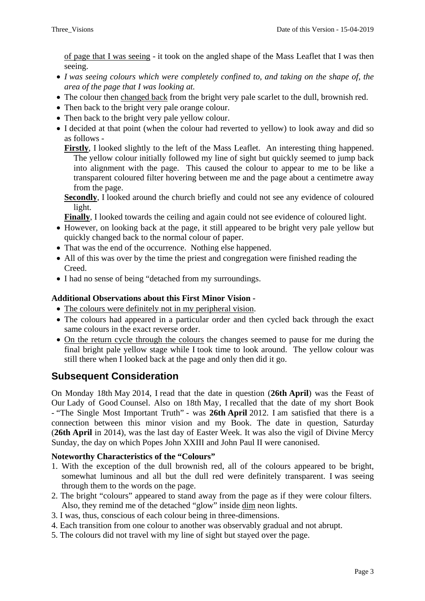of page that I was seeing - it took on the angled shape of the Mass Leaflet that I was then seeing.

- *I was seeing colours which were completely confined to, and taking on the shape of, the area of the page that I was looking at.*
- The colour then changed back from the bright very pale scarlet to the dull, brownish red.
- Then back to the bright very pale orange colour.
- Then back to the bright very pale yellow colour.
- I decided at that point (when the colour had reverted to yellow) to look away and did so as follows -

**Firstly**, I looked slightly to the left of the Mass Leaflet. An interesting thing happened. The yellow colour initially followed my line of sight but quickly seemed to jump back into alignment with the page. This caused the colour to appear to me to be like a transparent coloured filter hovering between me and the page about a centimetre away from the page.

**Secondly**, I looked around the church briefly and could not see any evidence of coloured light.

**Finally**, I looked towards the ceiling and again could not see evidence of coloured light.

- However, on looking back at the page, it still appeared to be bright very pale yellow but quickly changed back to the normal colour of paper.
- That was the end of the occurrence. Nothing else happened.
- All of this was over by the time the priest and congregation were finished reading the Creed.
- I had no sense of being "detached from my surroundings.

#### **Additional Observations about this First Minor Vision -**

- The colours were definitely not in my peripheral vision.
- The colours had appeared in a particular order and then cycled back through the exact same colours in the exact reverse order.
- On the return cycle through the colours the changes seemed to pause for me during the final bright pale yellow stage while I took time to look around. The yellow colour was still there when I looked back at the page and only then did it go.

## **Subsequent Consideration**

On Monday 18th May 2014, I read that the date in question (**26th April**) was the Feast of Our Lady of Good Counsel. Also on 18th May, I recalled that the date of my short Book - "The Single Most Important Truth" - was **26th April** 2012. I am satisfied that there is a connection between this minor vision and my Book. The date in question, Saturday (**26th April** in 2014), was the last day of Easter Week. It was also the vigil of Divine Mercy Sunday, the day on which Popes John XXIII and John Paul II were canonised.

#### **Noteworthy Characteristics of the "Colours"**

- 1. With the exception of the dull brownish red, all of the colours appeared to be bright, somewhat luminous and all but the dull red were definitely transparent. I was seeing through them to the words on the page.
- 2. The bright "colours" appeared to stand away from the page as if they were colour filters. Also, they remind me of the detached "glow" inside dim neon lights.
- 3. I was, thus, conscious of each colour being in three-dimensions.
- 4. Each transition from one colour to another was observably gradual and not abrupt.
- 5. The colours did not travel with my line of sight but stayed over the page.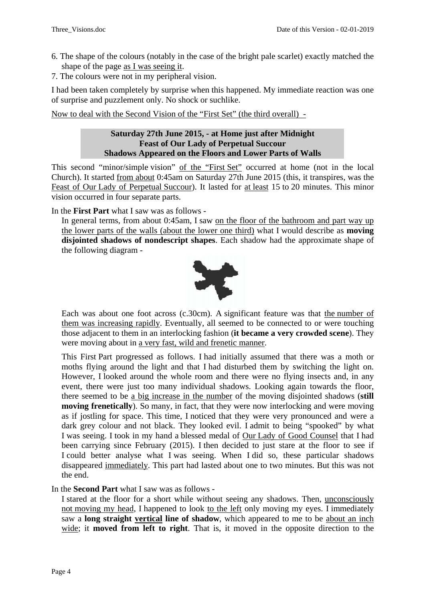- 6. The shape of the colours (notably in the case of the bright pale scarlet) exactly matched the shape of the page as I was seeing it.
- 7. The colours were not in my peripheral vision.

I had been taken completely by surprise when this happened. My immediate reaction was one of surprise and puzzlement only. No shock or suchlike.

Now to deal with the Second Vision of the "First Set" (the third overall) -

#### **Saturday 27th June 2015, - at Home just after Midnight Feast of Our Lady of Perpetual Succour Shadows Appeared on the Floors and Lower Parts of Walls**

This second "minor/simple vision" of the "First Set" occurred at home (not in the local Church). It started from about 0:45am on Saturday 27th June 2015 (this, it transpires, was the Feast of Our Lady of Perpetual Succour). It lasted for at least 15 to 20 minutes. This minor vision occurred in four separate parts.

In the **First Part** what I saw was as follows -

In general terms, from about 0:45am, I saw on the floor of the bathroom and part way up the lower parts of the walls (about the lower one third) what I would describe as **moving disjointed shadows of nondescript shapes**. Each shadow had the approximate shape of the following diagram -



Each was about one foot across (c.30cm). A significant feature was that the number of them was increasing rapidly. Eventually, all seemed to be connected to or were touching those adjacent to them in an interlocking fashion (**it became a very crowded scene**). They were moving about in a very fast, wild and frenetic manner.

This First Part progressed as follows. I had initially assumed that there was a moth or moths flying around the light and that I had disturbed them by switching the light on. However, I looked around the whole room and there were no flying insects and, in any event, there were just too many individual shadows. Looking again towards the floor, there seemed to be a big increase in the number of the moving disjointed shadows (**still moving frenetically**). So many, in fact, that they were now interlocking and were moving as if jostling for space. This time, I noticed that they were very pronounced and were a dark grey colour and not black. They looked evil. I admit to being "spooked" by what I was seeing. I took in my hand a blessed medal of Our Lady of Good Counsel that I had been carrying since February (2015). I then decided to just stare at the floor to see if I could better analyse what I was seeing. When I did so, these particular shadows disappeared immediately. This part had lasted about one to two minutes. But this was not the end.

In the **Second Part** what I saw was as follows -

I stared at the floor for a short while without seeing any shadows. Then, unconsciously not moving my head, I happened to look to the left only moving my eyes. I immediately saw a **long straight vertical line of shadow**, which appeared to me to be about an inch wide; it **moved from left to right**. That is, it moved in the opposite direction to the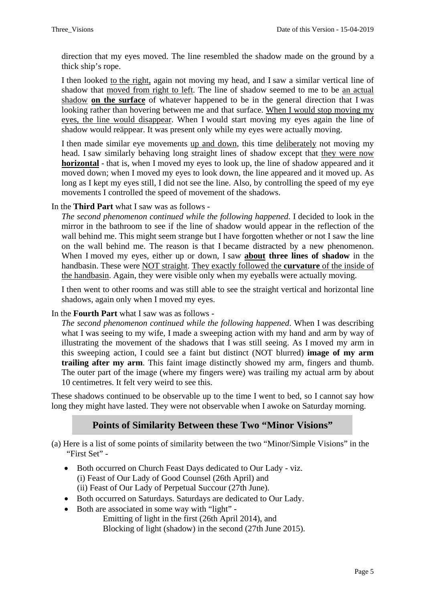direction that my eyes moved. The line resembled the shadow made on the ground by a thick ship's rope.

I then looked to the right, again not moving my head, and I saw a similar vertical line of shadow that moved from right to left. The line of shadow seemed to me to be an actual shadow **on the surface** of whatever happened to be in the general direction that I was looking rather than hovering between me and that surface. When I would stop moving my eyes, the line would disappear. When I would start moving my eyes again the line of shadow would reäppear. It was present only while my eyes were actually moving.

I then made similar eye movements up and down, this time deliberately not moving my head. I saw similarly behaving long straight lines of shadow except that they were now **horizontal** - that is, when I moved my eyes to look up, the line of shadow appeared and it moved down; when I moved my eyes to look down, the line appeared and it moved up. As long as I kept my eyes still, I did not see the line. Also, by controlling the speed of my eye movements I controlled the speed of movement of the shadows.

In the **Third Part** what I saw was as follows -

*The second phenomenon continued while the following happened*. I decided to look in the mirror in the bathroom to see if the line of shadow would appear in the reflection of the wall behind me. This might seem strange but I have forgotten whether or not I saw the line on the wall behind me. The reason is that I became distracted by a new phenomenon. When I moved my eyes, either up or down, I saw **about three lines of shadow** in the handbasin. These were NOT straight. They exactly followed the **curvature** of the inside of the handbasin. Again, they were visible only when my eyeballs were actually moving.

I then went to other rooms and was still able to see the straight vertical and horizontal line shadows, again only when I moved my eyes.

#### In the **Fourth Part** what I saw was as follows -

*The second phenomenon continued while the following happened*. When I was describing what I was seeing to my wife, I made a sweeping action with my hand and arm by way of illustrating the movement of the shadows that I was still seeing. As I moved my arm in this sweeping action, I could see a faint but distinct (NOT blurred) **image of my arm trailing after my arm**. This faint image distinctly showed my arm, fingers and thumb. The outer part of the image (where my fingers were) was trailing my actual arm by about 10 centimetres. It felt very weird to see this.

These shadows continued to be observable up to the time I went to bed, so I cannot say how long they might have lasted. They were not observable when I awoke on Saturday morning.

### **Points of Similarity Between these Two "Minor Visions"**

(a) Here is a list of some points of similarity between the two "Minor/Simple Visions" in the "First Set" -

- Both occurred on Church Feast Days dedicated to Our Lady viz. (i) Feast of Our Lady of Good Counsel (26th April) and (ii) Feast of Our Lady of Perpetual Succour (27th June).
- Both occurred on Saturdays. Saturdays are dedicated to Our Lady.
- Both are associated in some way with "light" -

 Emitting of light in the first (26th April 2014), and Blocking of light (shadow) in the second (27th June 2015).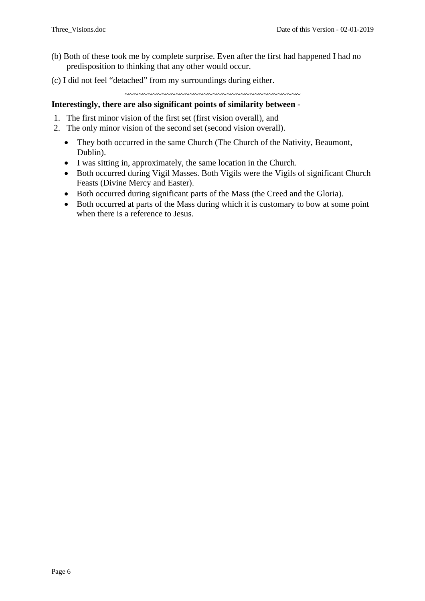- (b) Both of these took me by complete surprise. Even after the first had happened I had no predisposition to thinking that any other would occur.
- (c) I did not feel "detached" from my surroundings during either.

~~~~~~~~~~~~~~~~~~~~~~~~~~~~~~~~~~~~~~

### **Interestingly, there are also significant points of similarity between -**

- 1. The first minor vision of the first set (first vision overall), and
- 2. The only minor vision of the second set (second vision overall).
	- They both occurred in the same Church (The Church of the Nativity, Beaumont, Dublin).
	- I was sitting in, approximately, the same location in the Church.
	- Both occurred during Vigil Masses. Both Vigils were the Vigils of significant Church Feasts (Divine Mercy and Easter).
	- Both occurred during significant parts of the Mass (the Creed and the Gloria).
	- Both occurred at parts of the Mass during which it is customary to bow at some point when there is a reference to Jesus.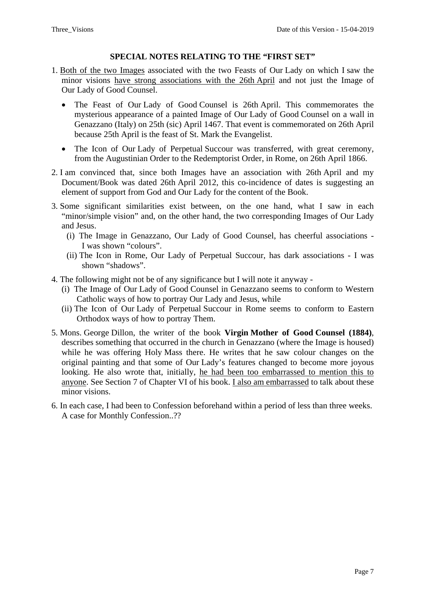#### **SPECIAL NOTES RELATING TO THE "FIRST SET"**

- 1. Both of the two Images associated with the two Feasts of Our Lady on which I saw the minor visions have strong associations with the 26th April and not just the Image of Our Lady of Good Counsel.
	- The Feast of Our Lady of Good Counsel is 26th April. This commemorates the mysterious appearance of a painted Image of Our Lady of Good Counsel on a wall in Genazzano (Italy) on 25th (sic) April 1467. That event is commemorated on 26th April because 25th April is the feast of St. Mark the Evangelist.
	- The Icon of Our Lady of Perpetual Succour was transferred, with great ceremony, from the Augustinian Order to the Redemptorist Order, in Rome, on 26th April 1866.
- 2. I am convinced that, since both Images have an association with 26th April and my Document/Book was dated 26th April 2012, this co-incidence of dates is suggesting an element of support from God and Our Lady for the content of the Book.
- 3. Some significant similarities exist between, on the one hand, what I saw in each "minor/simple vision" and, on the other hand, the two corresponding Images of Our Lady and Jesus.
	- (i) The Image in Genazzano, Our Lady of Good Counsel, has cheerful associations I was shown "colours".
	- (ii) The Icon in Rome, Our Lady of Perpetual Succour, has dark associations I was shown "shadows".
- 4. The following might not be of any significance but I will note it anyway
	- (i) The Image of Our Lady of Good Counsel in Genazzano seems to conform to Western Catholic ways of how to portray Our Lady and Jesus, while
	- (ii) The Icon of Our Lady of Perpetual Succour in Rome seems to conform to Eastern Orthodox ways of how to portray Them.
- 5. Mons. George Dillon, the writer of the book **Virgin Mother of Good Counsel (1884)**, describes something that occurred in the church in Genazzano (where the Image is housed) while he was offering Holy Mass there. He writes that he saw colour changes on the original painting and that some of Our Lady's features changed to become more joyous looking. He also wrote that, initially, he had been too embarrassed to mention this to anyone. See Section 7 of Chapter VI of his book. I also am embarrassed to talk about these minor visions.
- 6. In each case, I had been to Confession beforehand within a period of less than three weeks. A case for Monthly Confession..??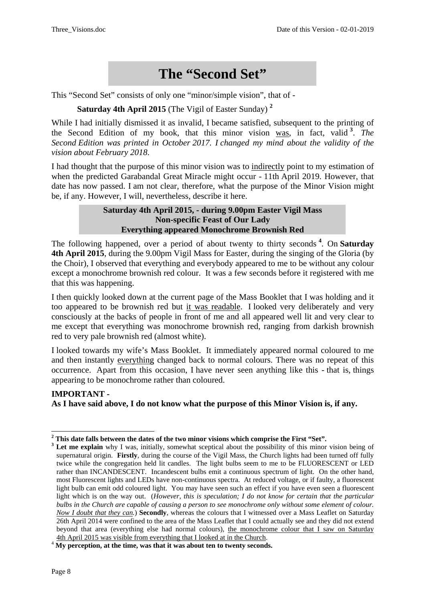# **The "Second Set"**

This "Second Set" consists of only one "minor/simple vision", that of -

**Saturday 4th April 2015** (The Vigil of Easter Sunday) **[2](#page-7-0)**

While I had initially dismissed it as invalid, I became satisfied, subsequent to the printing of the Second Edition of my book, that this minor vision was, in fact, valid **[3](#page-7-1)** . *The Second Edition was printed in October 2017. I changed my mind about the validity of the vision about February 2018*.

I had thought that the purpose of this minor vision was to indirectly point to my estimation of when the predicted Garabandal Great Miracle might occur - 11th April 2019. However, that date has now passed. I am not clear, therefore, what the purpose of the Minor Vision might be, if any. However, I will, nevertheless, describe it here.

#### **Saturday 4th April 2015, - during 9.00pm Easter Vigil Mass Non-specific Feast of Our Lady Everything appeared Monochrome Brownish Red**

The following happened, over a period of about twenty to thirty seconds **[4](#page-7-2)** . On **Saturday 4th April 2015**, during the 9.00pm Vigil Mass for Easter, during the singing of the Gloria (by the Choir), I observed that everything and everybody appeared to me to be without any colour except a monochrome brownish red colour. It was a few seconds before it registered with me that this was happening.

I then quickly looked down at the current page of the Mass Booklet that I was holding and it too appeared to be brownish red but it was readable. I looked very deliberately and very consciously at the backs of people in front of me and all appeared well lit and very clear to me except that everything was monochrome brownish red, ranging from darkish brownish red to very pale brownish red (almost white).

I looked towards my wife's Mass Booklet. It immediately appeared normal coloured to me and then instantly everything changed back to normal colours. There was no repeat of this occurrence. Apart from this occasion, I have never seen anything like this - that is, things appearing to be monochrome rather than coloured.

#### **IMPORTANT - As I have said above, I do not know what the purpose of this Minor Vision is, if any.**

 $\overline{a}$ 

<span id="page-7-0"></span>**<sup>2</sup> This date falls between the dates of the two minor visions which comprise the First "Set".**

<span id="page-7-1"></span>**<sup>3</sup> Let me explain** why I was, initially, somewhat sceptical about the possibility of this minor vision being of supernatural origin. **Firstly**, during the course of the Vigil Mass, the Church lights had been turned off fully twice while the congregation held lit candles. The light bulbs seem to me to be FLUORESCENT or LED rather than INCANDESCENT. Incandescent bulbs emit a continuous spectrum of light. On the other hand, most Fluorescent lights and LEDs have non-continuous spectra. At reduced voltage, or if faulty, a fluorescent light bulb can emit odd coloured light. You may have seen such an effect if you have even seen a fluorescent light which is on the way out. (*However, this is speculation; I do not know for certain that the particular bulbs in the Church are capable of causing a person to see monochrome only without some element of colour. Now I doubt that they can.*) **Secondly**, whereas the colours that I witnessed over a Mass Leaflet on Saturday 26th April 2014 were confined to the area of the Mass Leaflet that I could actually see and they did not extend beyond that area (everything else had normal colours), the monochrome colour that I saw on Saturday

<span id="page-7-2"></span><sup>4</sup>th April 2015 was visible from everything that I looked at in the Church. <sup>4</sup> **My perception, at the time, was that it was about ten to twenty seconds.**